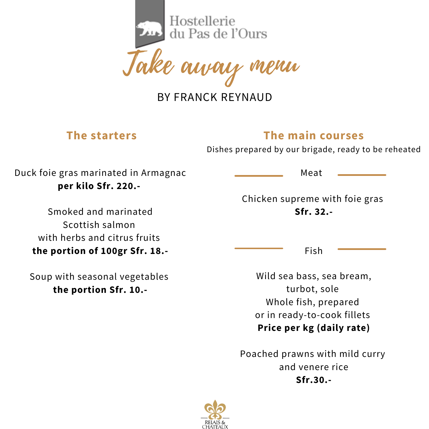Hostellerie<br>du Pas de l'Ours

'l aurau

BY FRANCK REYNAUD

#### **The starters**

## **The main courses**

Dishes prepared by our brigade, ready to be reheated

Duck foie gras marinated in Armagnac **per kilo Sfr. 220.-**

Smoked and marinated Scottish salmon with herbs and citrus fruits **the portion of 100gr Sfr. 18.-**

Soup with seasonal vegetables **the portion Sfr. 10.-**

Meat

Chicken supreme with foie gras **Sfr. 32.-**

Fish

Wild sea bass, sea bream, turbot, sole Whole fish, prepared or in ready-to-cook fillets **Price per kg (daily rate)**

Poached prawns with mild curry and venere rice **Sfr.30.-**